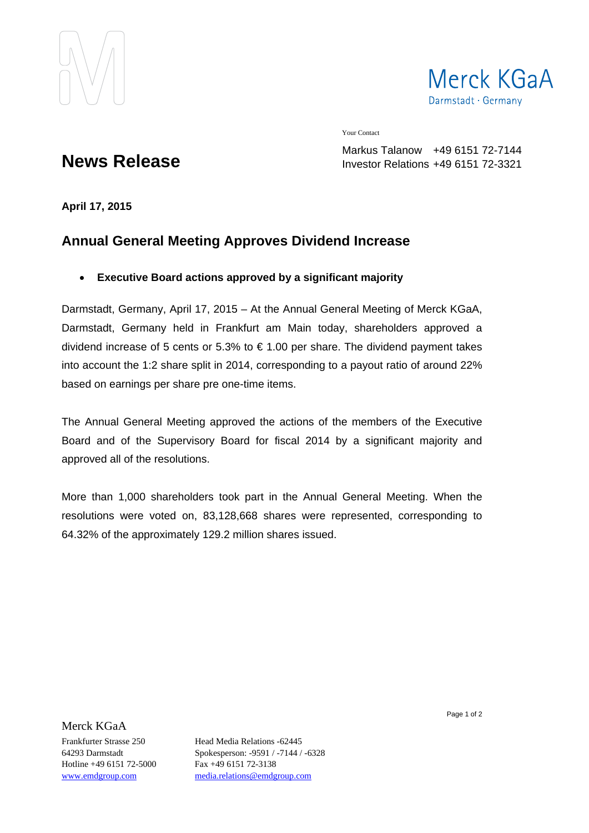



Your Contact

**News Release**

Markus Talanow +49 6151 72-7144 Investor Relations +49 6151 72-3321

**April 17, 2015** 

## **Annual General Meeting Approves Dividend Increase**

## **Executive Board actions approved by a significant majority**

Darmstadt, Germany, April 17, 2015 – At the Annual General Meeting of Merck KGaA, Darmstadt, Germany held in Frankfurt am Main today, shareholders approved a dividend increase of 5 cents or 5.3% to € 1.00 per share. The dividend payment takes into account the 1:2 share split in 2014, corresponding to a payout ratio of around 22% based on earnings per share pre one-time items.

The Annual General Meeting approved the actions of the members of the Executive Board and of the Supervisory Board for fiscal 2014 by a significant majority and approved all of the resolutions.

More than 1,000 shareholders took part in the Annual General Meeting. When the resolutions were voted on, 83,128,668 shares were represented, corresponding to 64.32% of the approximately 129.2 million shares issued.

Merck KGaA

Hotline +49 6151 72-5000 Fax +49 6151 72-3138

Frankfurter Strasse 250 Head Media Relations -62445 64293 Darmstadt Spokesperson: -9591 / -7144 / -6328 www.emdgroup.com media.relations@emdgroup.com

Page 1 of 2